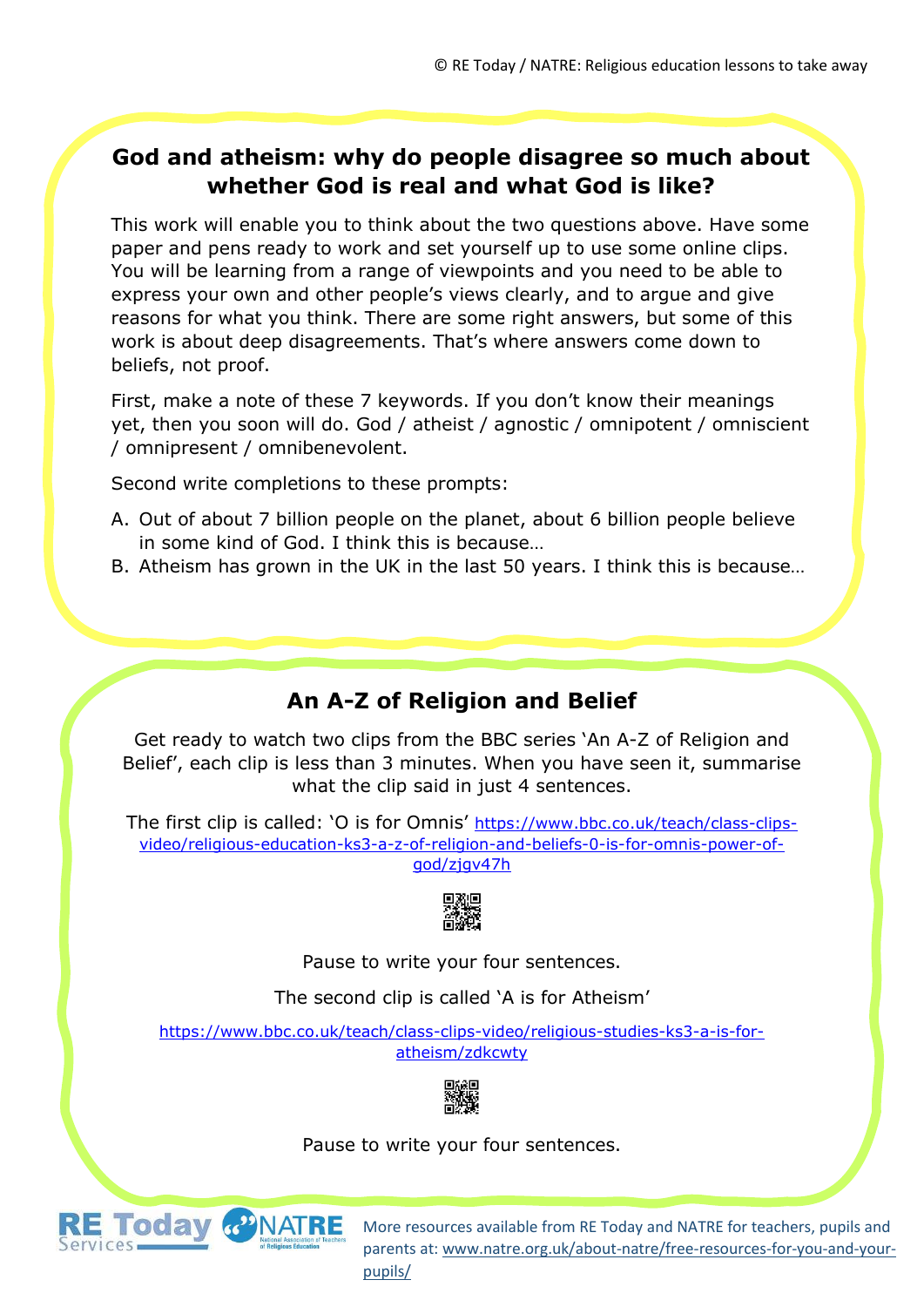### **God and atheism: why do people disagree so much about whether God is real and what God is like?**

This work will enable you to think about the two questions above. Have some paper and pens ready to work and set yourself up to use some online clips. You will be learning from a range of viewpoints and you need to be able to express your own and other people's views clearly, and to argue and give reasons for what you think. There are some right answers, but some of this work is about deep disagreements. That's where answers come down to beliefs, not proof.

First, make a note of these 7 keywords. If you don't know their meanings yet, then you soon will do. God / atheist / agnostic / omnipotent / omniscient / omnipresent / omnibenevolent.

Second write completions to these prompts:

- A. Out of about 7 billion people on the planet, about 6 billion people believe in some kind of God. I think this is because…
- B. Atheism has grown in the UK in the last 50 years. I think this is because…

# **An A-Z of Religion and Belief**

Get ready to watch two clips from the BBC series 'An A-Z of Religion and Belief', each clip is less than 3 minutes. When you have seen it, summarise what the clip said in just 4 sentences.

The first clip is called: 'O is for Omnis' [https://www.bbc.co.uk/teach/class-clips](https://www.bbc.co.uk/teach/class-clips-video/religious-education-ks3-a-z-of-religion-and-beliefs-0-is-for-omnis-power-of-god/zjgv47h)[video/religious-education-ks3-a-z-of-religion-and-beliefs-0-is-for-omnis-power-of](https://www.bbc.co.uk/teach/class-clips-video/religious-education-ks3-a-z-of-religion-and-beliefs-0-is-for-omnis-power-of-god/zjgv47h)[god/zjgv47h](https://www.bbc.co.uk/teach/class-clips-video/religious-education-ks3-a-z-of-religion-and-beliefs-0-is-for-omnis-power-of-god/zjgv47h)



Pause to write your four sentences.

The second clip is called 'A is for Atheism'

[https://www.bbc.co.uk/teach/class-clips-video/religious-studies-ks3-a-is-for](https://www.bbc.co.uk/teach/class-clips-video/religious-studies-ks3-a-is-for-atheism/zdkcwty)[atheism/zdkcwty](https://www.bbc.co.uk/teach/class-clips-video/religious-studies-ks3-a-is-for-atheism/zdkcwty)



#### Pause to write your four sentences.

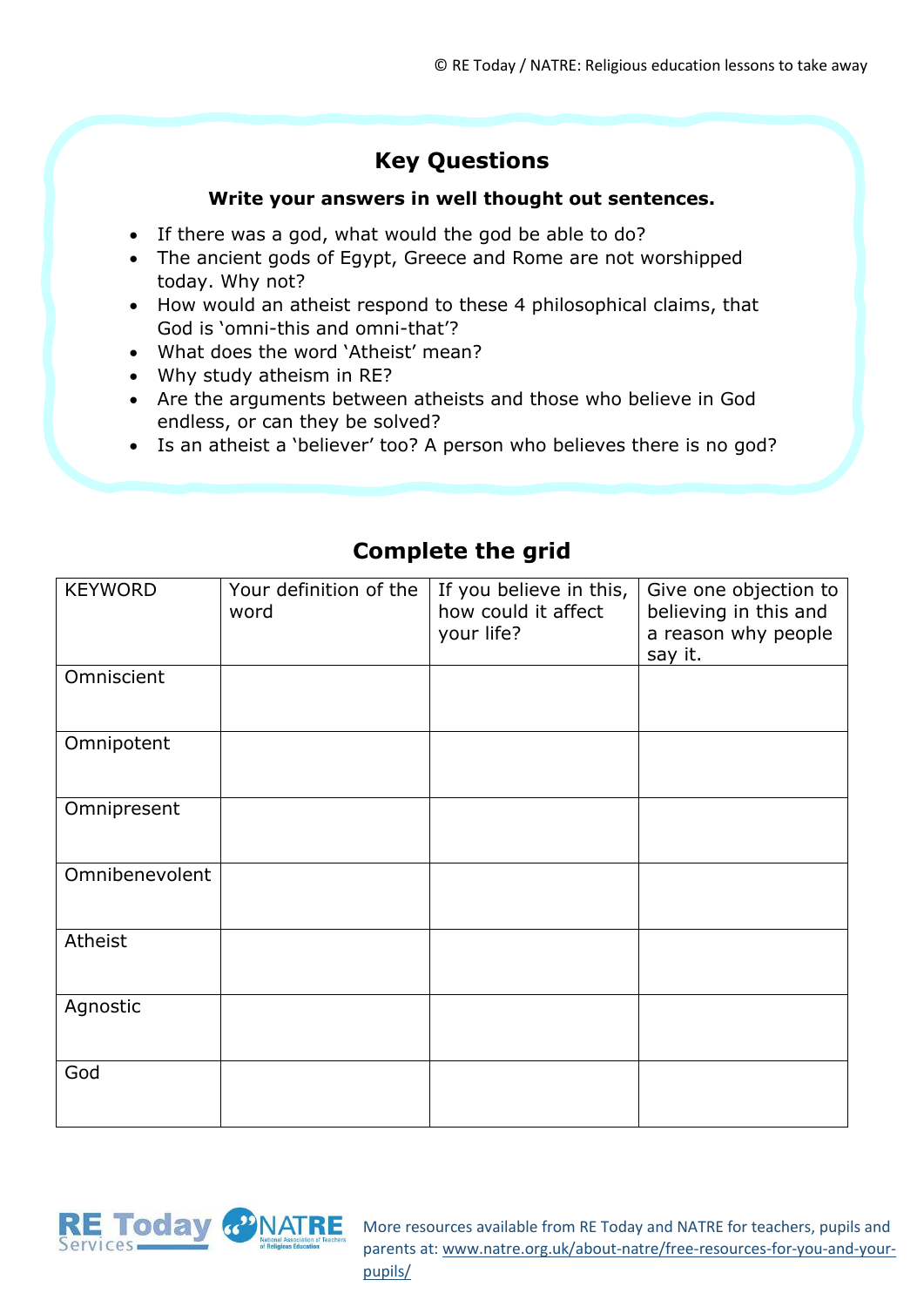# **Key Questions**

#### **Write your answers in well thought out sentences.**

- If there was a god, what would the god be able to do?
- The ancient gods of Egypt, Greece and Rome are not worshipped today. Why not?
- How would an atheist respond to these 4 philosophical claims, that God is 'omni-this and omni-that'?
- What does the word 'Atheist' mean?
- Why study atheism in RE?
- Are the arguments between atheists and those who believe in God endless, or can they be solved?
- Is an atheist a 'believer' too? A person who believes there is no god?

| <b>KEYWORD</b> | Your definition of the<br>word | If you believe in this,<br>how could it affect<br>your life? | Give one objection to<br>believing in this and<br>a reason why people<br>say it. |
|----------------|--------------------------------|--------------------------------------------------------------|----------------------------------------------------------------------------------|
| Omniscient     |                                |                                                              |                                                                                  |
| Omnipotent     |                                |                                                              |                                                                                  |
| Omnipresent    |                                |                                                              |                                                                                  |
| Omnibenevolent |                                |                                                              |                                                                                  |
| Atheist        |                                |                                                              |                                                                                  |
| Agnostic       |                                |                                                              |                                                                                  |
| God            |                                |                                                              |                                                                                  |

### **Complete the grid**

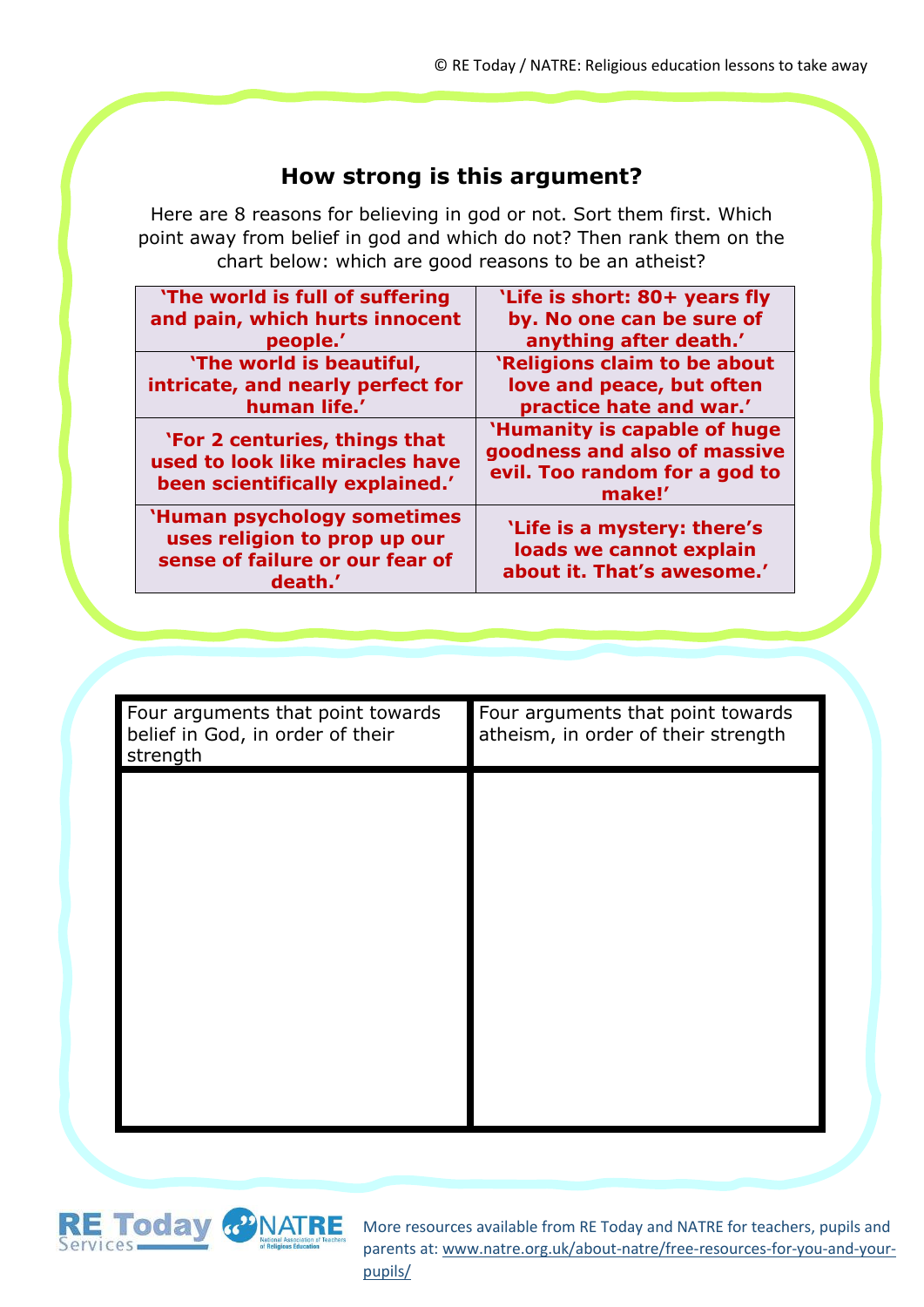### **How strong is this argument?**

Here are 8 reasons for believing in god or not. Sort them first. Which point away from belief in god and which do not? Then rank them on the chart below: which are good reasons to be an atheist?

| 'The world is full of suffering                                                                          | 'Life is short: 80+ years fly                                                                           |
|----------------------------------------------------------------------------------------------------------|---------------------------------------------------------------------------------------------------------|
| and pain, which hurts innocent                                                                           | by. No one can be sure of                                                                               |
| people.'                                                                                                 | anything after death.'                                                                                  |
| 'The world is beautiful,                                                                                 | 'Religions claim to be about                                                                            |
| intricate, and nearly perfect for                                                                        | love and peace, but often                                                                               |
| human life.'                                                                                             | practice hate and war.'                                                                                 |
| 'For 2 centuries, things that<br>used to look like miracles have<br>been scientifically explained.'      | 'Humanity is capable of huge<br>goodness and also of massive<br>evil. Too random for a god to<br>make!' |
| 'Human psychology sometimes<br>uses religion to prop up our<br>sense of failure or our fear of<br>death. | 'Life is a mystery: there's<br>loads we cannot explain<br>about it. That's awesome.'                    |

| Four arguments that point towards<br>belief in God, in order of their<br>strength | Four arguments that point towards<br>atheism, in order of their strength |
|-----------------------------------------------------------------------------------|--------------------------------------------------------------------------|
|                                                                                   |                                                                          |
|                                                                                   |                                                                          |
|                                                                                   |                                                                          |
|                                                                                   |                                                                          |
|                                                                                   |                                                                          |